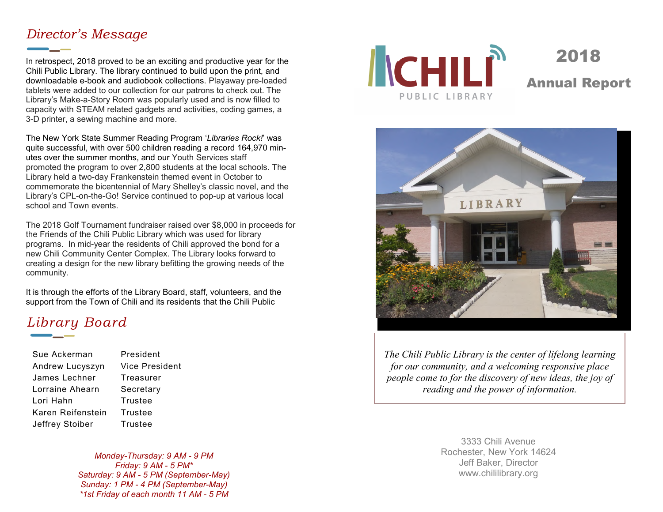#### *Director's Message*

In retrospect, 2018 proved to be an exciting and productive year for the Chili Public Library. The library continued to build upon the print, and downloadable e-book and audiobook collections. Playaway pre-loaded tablets were added to our collection for our patrons to check out. The Library's Make-a-Story Room was popularly used and is now filled to capacity with STEAM related gadgets and activities, coding games, a 3-D printer, a sewing machine and more.

The New York State Summer Reading Program '*Libraries Rock!*' was quite successful, with over 500 children reading a record 164,970 minutes over the summer months, and our Youth Services staff promoted the program to over 2,800 students at the local schools. The Library held a two-day Frankenstein themed event in October to commemorate the bicentennial of Mary Shelley's classic novel, and the Library's CPL-on-the-Go! Service continued to pop-up at various local school and Town events.

The 2018 Golf Tournament fundraiser raised over \$8,000 in proceeds for the Friends of the Chili Public Library which was used for library programs. In mid-year the residents of Chili approved the bond for a new Chili Community Center Complex. The Library looks forward to creating a design for the new library befitting the growing needs of the community.

It is through the efforts of the Library Board, staff, volunteers, and the support from the Town of Chili and its residents that the Chili Public

# *Library Board*

| Sue Ackerman      | President             |
|-------------------|-----------------------|
| Andrew Lucyszyn   | <b>Vice President</b> |
| James Lechner     | Treasurer             |
| Lorraine Ahearn   | Secretary             |
| Lori Hahn         | <b>Trustee</b>        |
| Karen Reifenstein | Trustee               |
| Jeffrey Stoiber   | <b>Trustee</b>        |

*Monday-Thursday: 9 AM - 9 PM Friday: 9 AM - 5 PM\* Saturday: 9 AM - 5 PM (September-May) Sunday: 1 PM - 4 PM (September-May) \*1st Friday of each month 11 AM - 5 PM* 



2018 Annual Report



*The Chili Public Library is the center of lifelong learning for our community, and a welcoming responsive place people come to for the discovery of new ideas, the joy of reading and the power of information.* 

> 3333 Chili Avenue Rochester, New York 14624 Jeff Baker, Director www.chililibrary.org